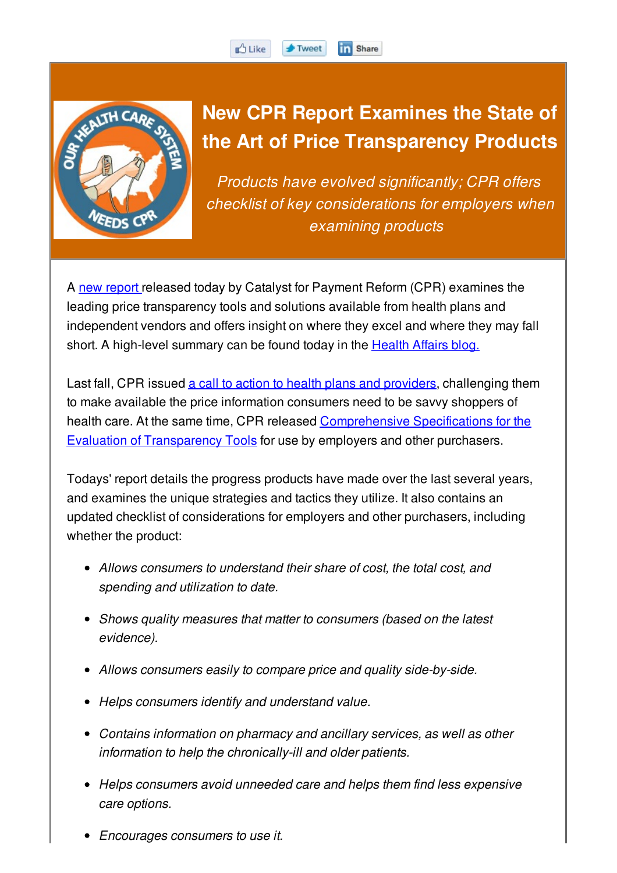

## **New CPR Report Examines the State of the Art of Price Transparency Products**

**Th** Share

 $\blacktriangleright$  Tweet

*Products have evolved significantly; CPR offers checklist of key considerations for employers when examining products*

A new report released today by Catalyst for Payment Reform (CPR) examines the leading price transparency tools and solutions available from health plans and independent vendors and offers insight on where they excel and where they may fall short. A high-level summary can be found today in the **Health Affairs blog.** 

**D** Like

Last fall, CPR issued a call to action to health plans and providers, challenging them to make available the price information consumers need to be savvy shoppers of health care. At the same time, CPR released Comprehensive Specifications for the Evaluation of Transparency Tools for use by employers and other purchasers.

Todays' report details the progress products have made over the last several years, and examines the unique strategies and tactics they utilize. It also contains an updated checklist of considerations for employers and other purchasers, including whether the product:

- *Allows consumers to understand their share of cost, the total cost, and spending and utilization to date.*
- *Shows quality measures that matter to consumers (based on the latest evidence).*
- *Allows consumers easily to compare price and quality side-by-side.*
- *Helps consumers identify and understand value.*
- *Contains information on pharmacy and ancillary services, as well as other information to help the chronically-ill and older patients.*
- *Helps consumers avoid unneeded care and helps them find less expensive care options.*
- *Encourages consumers to use it.*